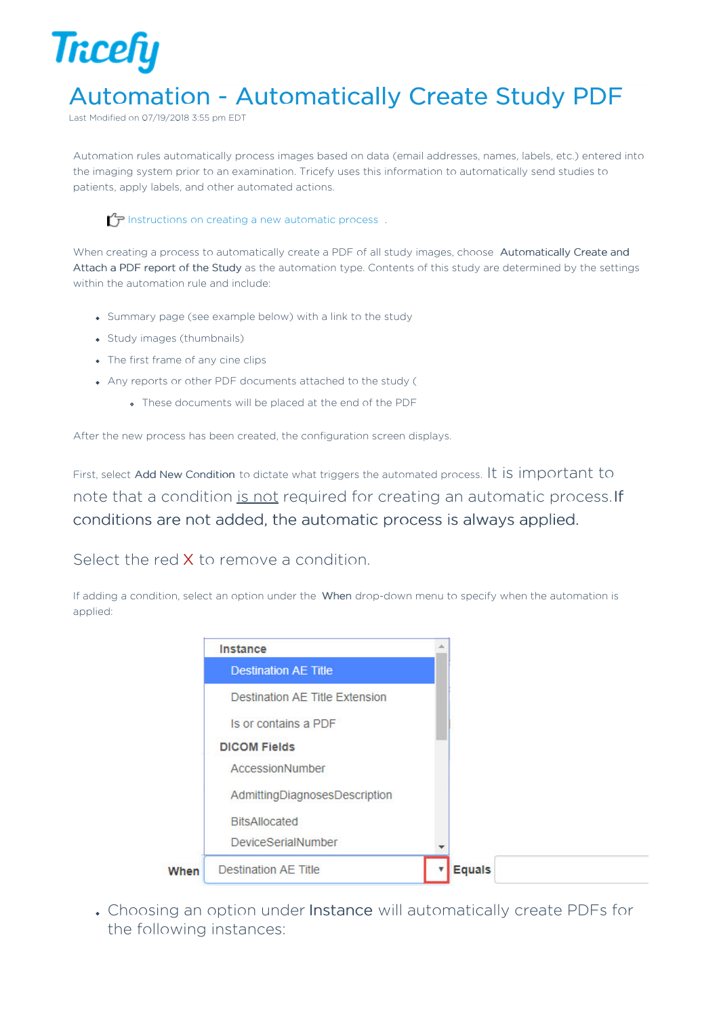

## Automation - Automatically Create Study PDF

Last Modified on 07/19/2018 3:55 pm EDT

Automation rules automatically process images based on data (email addresses, names, labels, etc.) entered into the imaging system prior to an examination. Tricefy uses this information to automatically send studies to patients, apply labels, and other automated actions.

Instructions on creating a new automatic process.

When creating a process to automatically create a PDF of all study images, choose Automatically Create and Attach a PDF report of the Study as the automation type. Contents of this study are determined by the settings within the automation rule and include:

- Summary page (see example below) with a link to the study
- Study images (thumbnails)
- The first frame of any cine clips
- Any reports or other PDF documents attached to the study (
	- These documents will be placed at the end of the PDF

After the new process has been created, the configuration screen displays.

First, select Add New Condition to dictate what triggers the automated process. It is important to note that a condition is not required for creating an automatic process.If conditions are not added, the automatic process is always applied.

Select the red X to remove a condition.

If adding a condition, select an option under the When drop-down menu to specify when the automation is applied:

|      | Instance                       |  |
|------|--------------------------------|--|
|      | <b>Destination AE Title</b>    |  |
|      | Destination AE Title Extension |  |
|      | Is or contains a PDF           |  |
|      | <b>DICOM Fields</b>            |  |
|      | AccessionNumber                |  |
|      | AdmittingDiagnosesDescription  |  |
|      | <b>BitsAllocated</b>           |  |
|      | <b>DeviceSerialNumber</b>      |  |
| When | <b>Destination AE Title</b>    |  |

Choosing an option under Instance will automatically create PDFs for the following instances: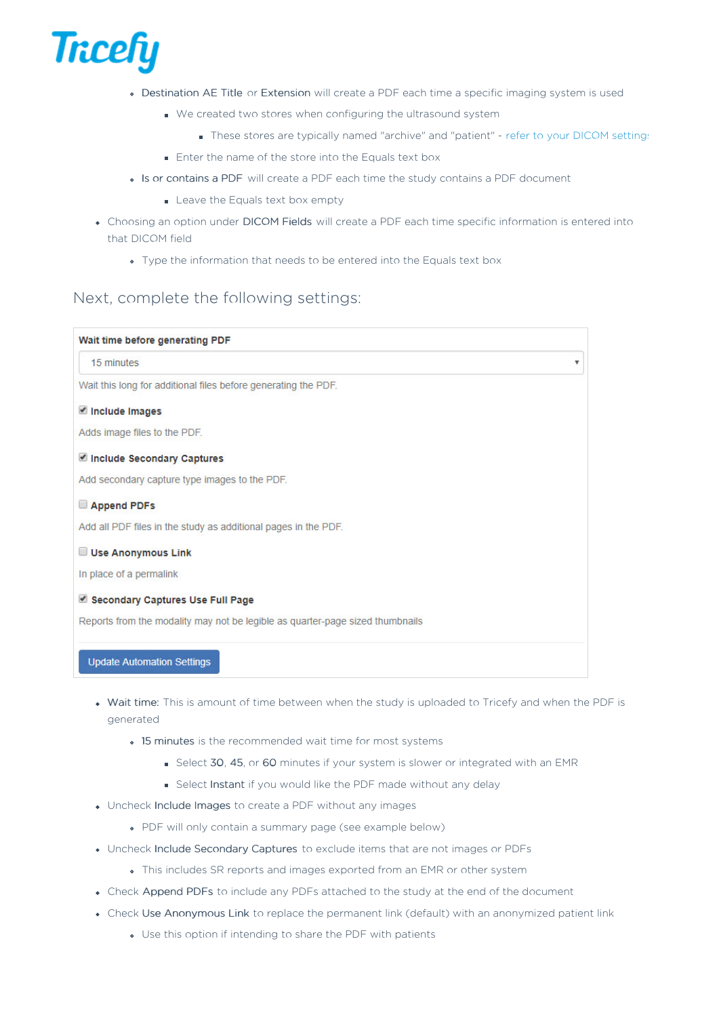

- Destination AE Title or Extension will create a PDF each time a specific imaging system is used
	- We created two stores when configuring the ultrasound system
		- These stores are typically named "archive" and "patient" refer to your DICOM settings
	- **Enter the name of the store into the Equals text box**
- Is or contains a PDF will create a PDF each time the study contains a PDF document
	- Leave the Equals text box empty
- Choosing an option under DICOM Fields will create a PDF each time specific information is entered into that DICOM field
	- Type the information that needs to be entered into the Equals text box

#### Next, complete the following settings:

### Wait time before generating PDF 15 minutes  $\overline{\mathbf{v}}$ Wait this long for additional files before generating the PDF. Include Images Adds image files to the PDF. Include Secondary Captures Add secondary capture type images to the PDF. Append PDFs Add all PDF files in the study as additional pages in the PDF. Use Anonymous Link In place of a permalink Secondary Captures Use Full Page Reports from the modality may not be legible as quarter-page sized thumbnails **Update Automation Settings**

- . Wait time: This is amount of time between when the study is uploaded to Tricefy and when the PDF is generated
	- 15 minutes is the recommended wait time for most systems
		- Select 30, 45, or 60 minutes if your system is slower or integrated with an EMR
		- Select Instant if you would like the PDF made without any delay
- Uncheck Include Images to create a PDF without any images
	- PDF will only contain a summary page (see example below)
- Uncheck Include Secondary Captures to exclude items that are not images or PDFs
	- This includes SR reports and images exported from an EMR or other system
- Check Append PDFs to include any PDFs attached to the study at the end of the document
- Check Use Anonymous Link to replace the permanent link (default) with an anonymized patient link
	- Use this option if intending to share the PDF with patients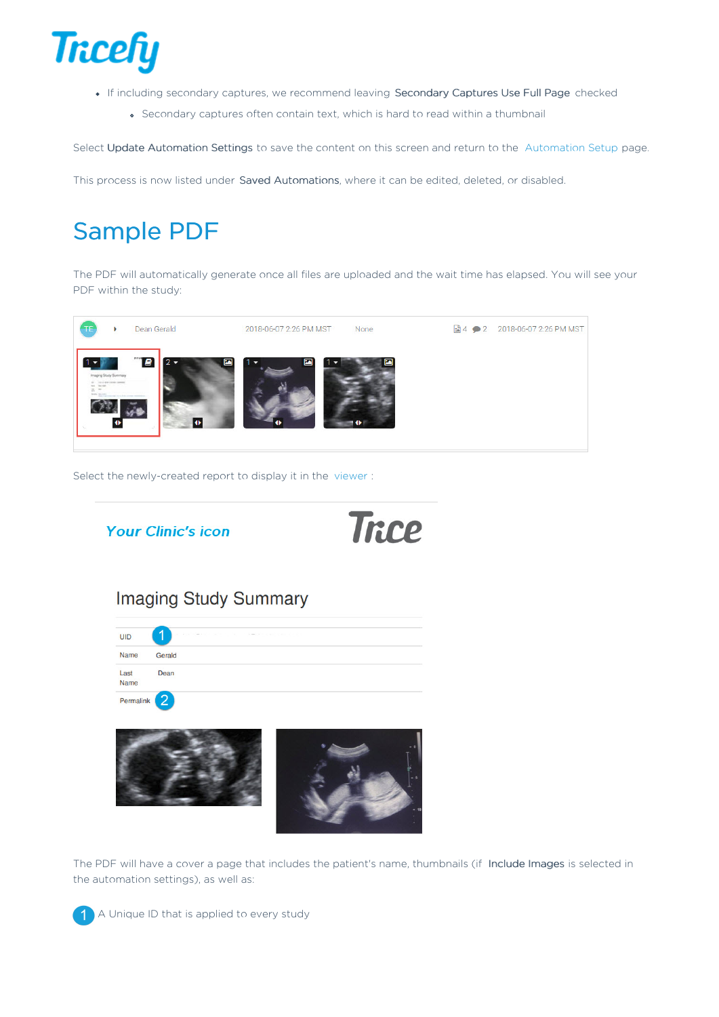

- If including secondary captures, we recommend leaving Secondary Captures Use Full Page checked
	- Secondary captures often contain text, which is hard to read within a thumbnail

Select Update Automation Settings to save the content on this screen and return to the Automation Setup page.

This process is now listed under Saved Automations, where it can be edited, deleted, or disabled.

# Sample PDF

The PDF will automatically generate once all files are uploaded and the wait time has elapsed. You will see your PDF within the study:



Select the newly-created report to display it in the viewer :



The PDF will have a cover a page that includes the patient's name, thumbnails (if Include Images is selected in the automation settings), as well as:

A Unique ID that is applied to every study